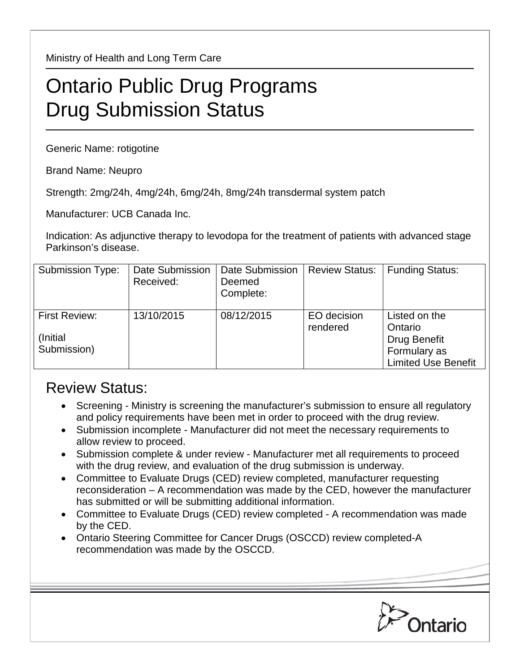Ministry of Health and Long Term Care

## Ontario Public Drug Programs Drug Submission Status

Generic Name: rotigotine

Brand Name: Neupro

Strength: 2mg/24h, 4mg/24h, 6mg/24h, 8mg/24h transdermal system patch

Manufacturer: UCB Canada Inc.

Indication: As adjunctive therapy to levodopa for the treatment of patients with advanced stage Parkinson's disease.

| <b>Submission Type:</b>                          | Date Submission<br>Received: | Date Submission<br>Deemed<br>Complete: | <b>Review Status:</b>   | <b>Funding Status:</b>                                                                 |
|--------------------------------------------------|------------------------------|----------------------------------------|-------------------------|----------------------------------------------------------------------------------------|
| <b>First Review:</b><br>(Initial)<br>Submission) | 13/10/2015                   | 08/12/2015                             | EO decision<br>rendered | Listed on the<br>Ontario<br>Drug Benefit<br>Formulary as<br><b>Limited Use Benefit</b> |

## Review Status:

- Screening Ministry is screening the manufacturer's submission to ensure all regulatory and policy requirements have been met in order to proceed with the drug review.
- Submission incomplete Manufacturer did not meet the necessary requirements to allow review to proceed.
- Submission complete & under review Manufacturer met all requirements to proceed with the drug review, and evaluation of the drug submission is underway.
- Committee to Evaluate Drugs (CED) review completed, manufacturer requesting reconsideration – A recommendation was made by the CED, however the manufacturer has submitted or will be submitting additional information.
- Committee to Evaluate Drugs (CED) review completed A recommendation was made by the CED.
- Ontario Steering Committee for Cancer Drugs (OSCCD) review completed-A recommendation was made by the OSCCD.